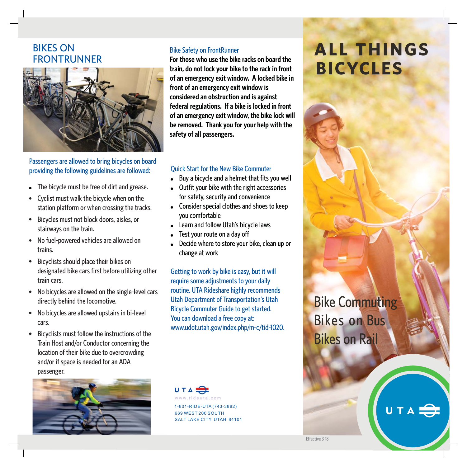## BIKES ON FRONTRUNNER



## Passengers are allowed to bring bicycles on board providing the following guidelines are followed:

- The bicycle must be free of dirt and grease.
- Cyclist must walk the bicycle when on the station platform or when crossing the tracks.
- Bicycles must not block doors, aisles, or stairways on the train.
- No fuel-powered vehicles are allowed on trains.
- Bicyclists should place their bikes on designated bike cars first before utilizing other train cars.
- No bicycles are allowed on the single-level cars directly behind the locomotive.
- No bicycles are allowed upstairs in bi-level cars.
- Bicyclists must follow the instructions of the Train Host and/or Conductor concerning the location of their bike due to overcrowding and/or if space is needed for an ADA passenger.



#### Bike Safety on FrontRunner

**For those who use the bike racks on board the train, do not lock your bike to the rack in front of an emergency exit window. A locked bike in front of an emergency exit window is considered an obstruction and is against federal regulations. If a bike is locked in front of an emergency exit window, the bike lock will be removed. Thank you for your help with the safety of all passengers.**

#### Quick Start for the New Bike Commuter

- -Buy a bicycle and a helmet that fits you well
- Outfit your bike with the right accessories for safety, security and convenience
- Consider special clothes and shoes to keep you comfortable
- Learn and follow Utah's bicycle laws
- -Test your route on a day off
- Decide where to store your bike, clean up or change at work

Getting to work by bike is easy, but it will require some adjustments to your daily routine. UTA Rideshare highly recommends Utah Department of Transportation's Utah Bicycle Commuter Guide to get started. You can download a free copy at: www.udot.utah.gov/index.php/m-c/tid-1020.



1-801-RIDE-UTA (743-3882) 669 WEST 200 SOUTH SALT LAKE CITY, UTAH 84101

# **ALL THINGS BICYCLES**



UTA<sup>S</sup>

Effective 3-18